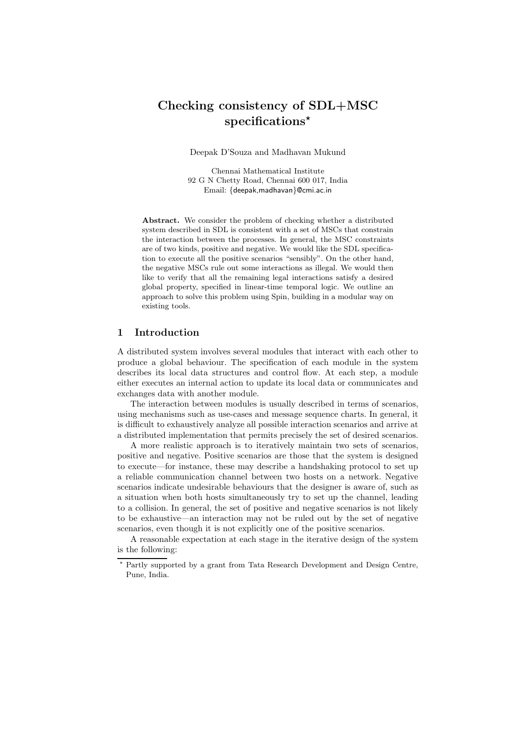# Checking consistency of SDL+MSC specifications\*

Deepak D'Souza and Madhavan Mukund

Chennai Mathematical Institute 92 G N Chetty Road, Chennai 600 017, India Email: {deepak,madhavan}@cmi.ac.in

Abstract. We consider the problem of checking whether a distributed system described in SDL is consistent with a set of MSCs that constrain the interaction between the processes. In general, the MSC constraints are of two kinds, positive and negative. We would like the SDL specification to execute all the positive scenarios "sensibly". On the other hand, the negative MSCs rule out some interactions as illegal. We would then like to verify that all the remaining legal interactions satisfy a desired global property, specified in linear-time temporal logic. We outline an approach to solve this problem using Spin, building in a modular way on existing tools.

# 1 Introduction

A distributed system involves several modules that interact with each other to produce a global behaviour. The specification of each module in the system describes its local data structures and control flow. At each step, a module either executes an internal action to update its local data or communicates and exchanges data with another module.

The interaction between modules is usually described in terms of scenarios, using mechanisms such as use-cases and message sequence charts. In general, it is difficult to exhaustively analyze all possible interaction scenarios and arrive at a distributed implementation that permits precisely the set of desired scenarios.

A more realistic approach is to iteratively maintain two sets of scenarios, positive and negative. Positive scenarios are those that the system is designed to execute—for instance, these may describe a handshaking protocol to set up a reliable communication channel between two hosts on a network. Negative scenarios indicate undesirable behaviours that the designer is aware of, such as a situation when both hosts simultaneously try to set up the channel, leading to a collision. In general, the set of positive and negative scenarios is not likely to be exhaustive—an interaction may not be ruled out by the set of negative scenarios, even though it is not explicitly one of the positive scenarios.

A reasonable expectation at each stage in the iterative design of the system is the following:

<sup>?</sup> Partly supported by a grant from Tata Research Development and Design Centre, Pune, India.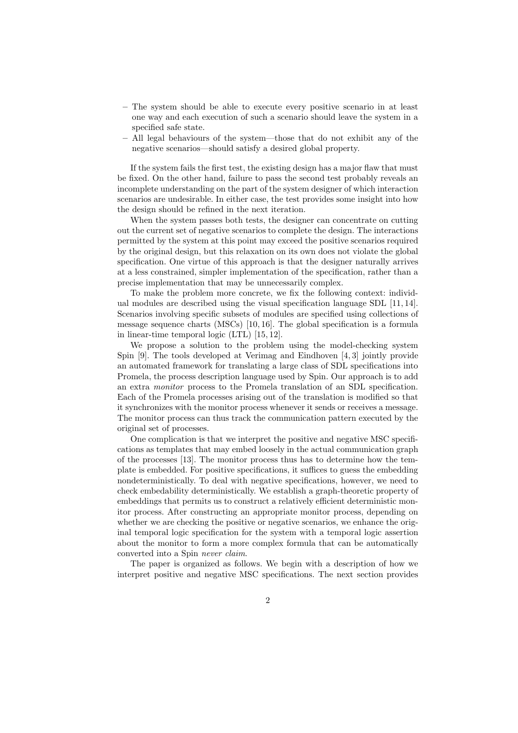- The system should be able to execute every positive scenario in at least one way and each execution of such a scenario should leave the system in a specified safe state.
- All legal behaviours of the system—those that do not exhibit any of the negative scenarios—should satisfy a desired global property.

If the system fails the first test, the existing design has a major flaw that must be fixed. On the other hand, failure to pass the second test probably reveals an incomplete understanding on the part of the system designer of which interaction scenarios are undesirable. In either case, the test provides some insight into how the design should be refined in the next iteration.

When the system passes both tests, the designer can concentrate on cutting out the current set of negative scenarios to complete the design. The interactions permitted by the system at this point may exceed the positive scenarios required by the original design, but this relaxation on its own does not violate the global specification. One virtue of this approach is that the designer naturally arrives at a less constrained, simpler implementation of the specification, rather than a precise implementation that may be unnecessarily complex.

To make the problem more concrete, we fix the following context: individual modules are described using the visual specification language SDL [11, 14]. Scenarios involving specific subsets of modules are specified using collections of message sequence charts (MSCs) [10, 16]. The global specification is a formula in linear-time temporal logic (LTL) [15, 12].

We propose a solution to the problem using the model-checking system Spin [9]. The tools developed at Verimag and Eindhoven [4, 3] jointly provide an automated framework for translating a large class of SDL specifications into Promela, the process description language used by Spin. Our approach is to add an extra monitor process to the Promela translation of an SDL specification. Each of the Promela processes arising out of the translation is modified so that it synchronizes with the monitor process whenever it sends or receives a message. The monitor process can thus track the communication pattern executed by the original set of processes.

One complication is that we interpret the positive and negative MSC specifications as templates that may embed loosely in the actual communication graph of the processes [13]. The monitor process thus has to determine how the template is embedded. For positive specifications, it suffices to guess the embedding nondeterministically. To deal with negative specifications, however, we need to check embedability deterministically. We establish a graph-theoretic property of embeddings that permits us to construct a relatively efficient deterministic monitor process. After constructing an appropriate monitor process, depending on whether we are checking the positive or negative scenarios, we enhance the original temporal logic specification for the system with a temporal logic assertion about the monitor to form a more complex formula that can be automatically converted into a Spin never claim.

The paper is organized as follows. We begin with a description of how we interpret positive and negative MSC specifications. The next section provides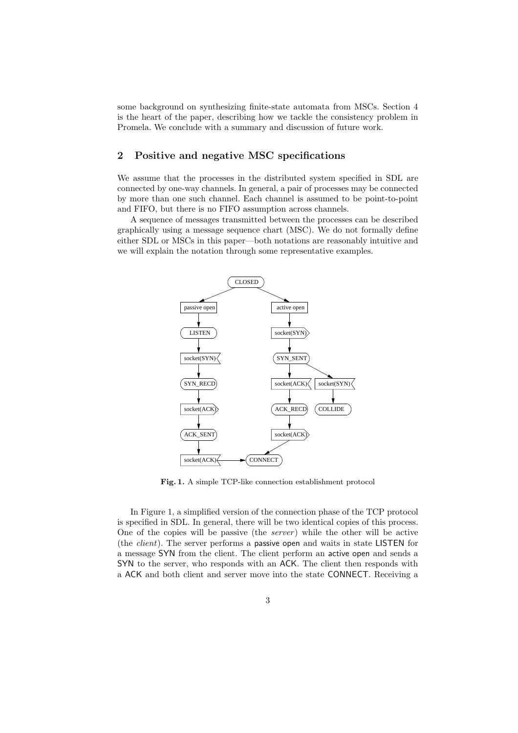some background on synthesizing finite-state automata from MSCs. Section 4 is the heart of the paper, describing how we tackle the consistency problem in Promela. We conclude with a summary and discussion of future work.

# 2 Positive and negative MSC specifications

We assume that the processes in the distributed system specified in SDL are connected by one-way channels. In general, a pair of processes may be connected by more than one such channel. Each channel is assumed to be point-to-point and FIFO, but there is no FIFO assumption across channels.

A sequence of messages transmitted between the processes can be described graphically using a message sequence chart (MSC). We do not formally define either SDL or MSCs in this paper—both notations are reasonably intuitive and we will explain the notation through some representative examples.



Fig. 1. A simple TCP-like connection establishment protocol

In Figure 1, a simplified version of the connection phase of the TCP protocol is specified in SDL. In general, there will be two identical copies of this process. One of the copies will be passive (the *server*) while the other will be active (the client). The server performs a passive open and waits in state LISTEN for a message SYN from the client. The client perform an active open and sends a SYN to the server, who responds with an ACK. The client then responds with a ACK and both client and server move into the state CONNECT. Receiving a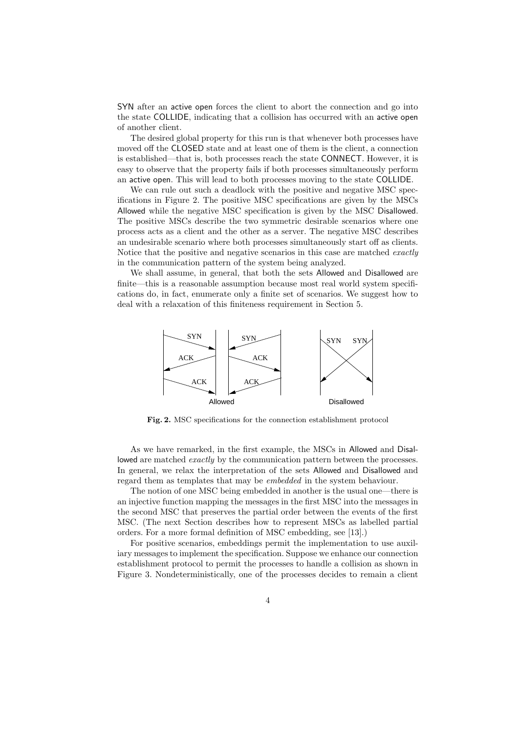SYN after an active open forces the client to abort the connection and go into the state COLLIDE, indicating that a collision has occurred with an active open of another client.

The desired global property for this run is that whenever both processes have moved off the CLOSED state and at least one of them is the client, a connection is established—that is, both processes reach the state CONNECT. However, it is easy to observe that the property fails if both processes simultaneously perform an active open. This will lead to both processes moving to the state COLLIDE.

We can rule out such a deadlock with the positive and negative MSC specifications in Figure 2. The positive MSC specifications are given by the MSCs Allowed while the negative MSC specification is given by the MSC Disallowed. The positive MSCs describe the two symmetric desirable scenarios where one process acts as a client and the other as a server. The negative MSC describes an undesirable scenario where both processes simultaneously start off as clients. Notice that the positive and negative scenarios in this case are matched *exactly* in the communication pattern of the system being analyzed.

We shall assume, in general, that both the sets Allowed and Disallowed are finite—this is a reasonable assumption because most real world system specifications do, in fact, enumerate only a finite set of scenarios. We suggest how to deal with a relaxation of this finiteness requirement in Section 5.



Fig. 2. MSC specifications for the connection establishment protocol

As we have remarked, in the first example, the MSCs in Allowed and Disallowed are matched *exactly* by the communication pattern between the processes. In general, we relax the interpretation of the sets Allowed and Disallowed and regard them as templates that may be embedded in the system behaviour.

The notion of one MSC being embedded in another is the usual one—there is an injective function mapping the messages in the first MSC into the messages in the second MSC that preserves the partial order between the events of the first MSC. (The next Section describes how to represent MSCs as labelled partial orders. For a more formal definition of MSC embedding, see [13].)

For positive scenarios, embeddings permit the implementation to use auxiliary messages to implement the specification. Suppose we enhance our connection establishment protocol to permit the processes to handle a collision as shown in Figure 3. Nondeterministically, one of the processes decides to remain a client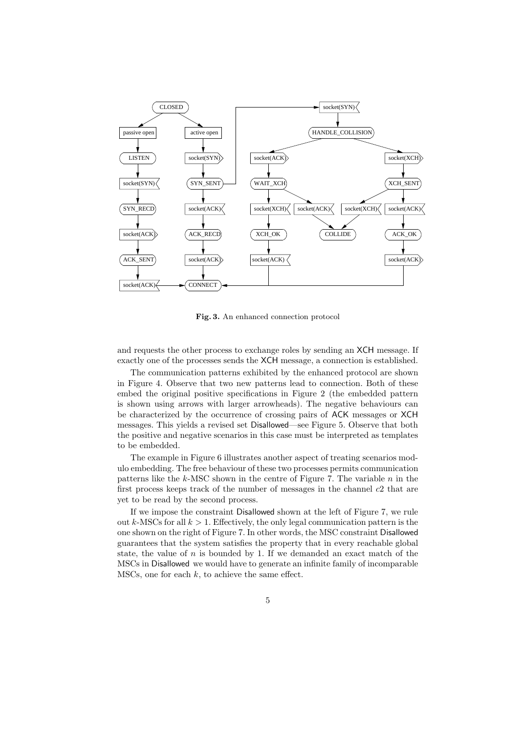

Fig. 3. An enhanced connection protocol

and requests the other process to exchange roles by sending an XCH message. If exactly one of the processes sends the XCH message, a connection is established.

The communication patterns exhibited by the enhanced protocol are shown in Figure 4. Observe that two new patterns lead to connection. Both of these embed the original positive specifications in Figure 2 (the embedded pattern is shown using arrows with larger arrowheads). The negative behaviours can be characterized by the occurrence of crossing pairs of ACK messages or XCH messages. This yields a revised set Disallowed—see Figure 5. Observe that both the positive and negative scenarios in this case must be interpreted as templates to be embedded.

The example in Figure 6 illustrates another aspect of treating scenarios modulo embedding. The free behaviour of these two processes permits communication patterns like the  $k$ -MSC shown in the centre of Figure 7. The variable  $n$  in the first process keeps track of the number of messages in the channel  $c<sub>2</sub>$  that are yet to be read by the second process.

If we impose the constraint Disallowed shown at the left of Figure 7, we rule out k-MSCs for all  $k > 1$ . Effectively, the only legal communication pattern is the one shown on the right of Figure 7. In other words, the MSC constraint Disallowed guarantees that the system satisfies the property that in every reachable global state, the value of  $n$  is bounded by 1. If we demanded an exact match of the MSCs in Disallowed we would have to generate an infinite family of incomparable  $MSCs$ , one for each  $k$ , to achieve the same effect.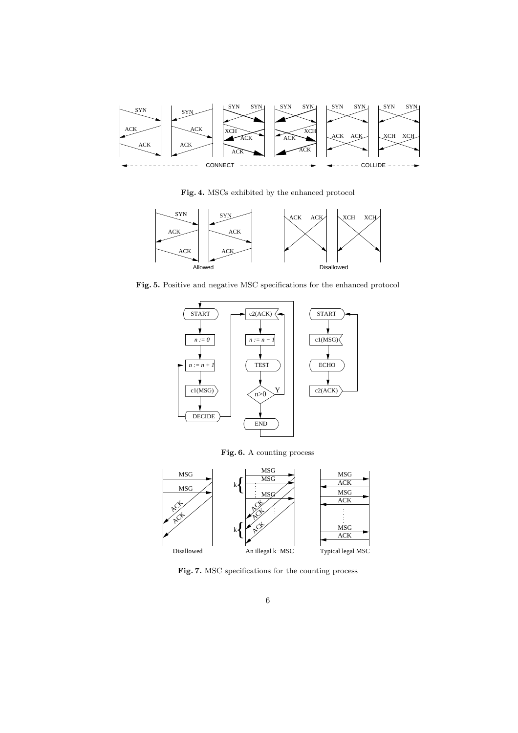

Fig. 4. MSCs exhibited by the enhanced protocol



Fig. 5. Positive and negative MSC specifications for the enhanced protocol



Fig. 6. A counting process



Fig. 7. MSC specifications for the counting process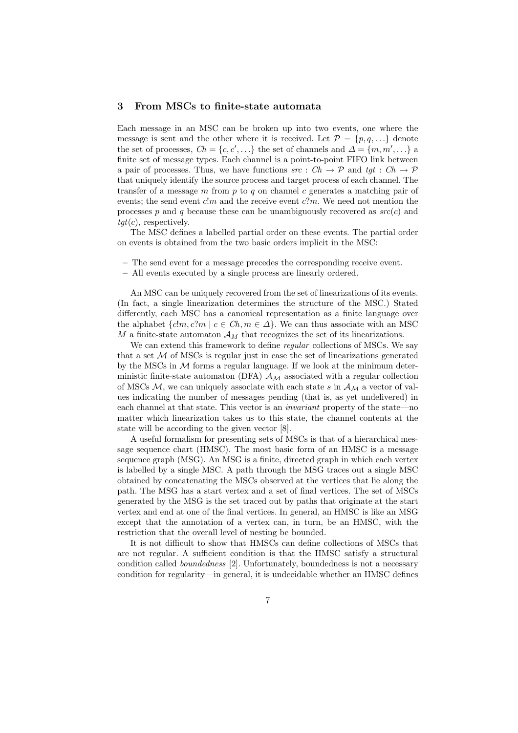# 3 From MSCs to finite-state automata

Each message in an MSC can be broken up into two events, one where the message is sent and the other where it is received. Let  $\mathcal{P} = \{p, q, ...\}$  denote the set of processes,  $Ch = \{c, c', \ldots\}$  the set of channels and  $\Delta = \{m, m', \ldots\}$  a finite set of message types. Each channel is a point-to-point FIFO link between a pair of processes. Thus, we have functions  $src : Ch \rightarrow \mathcal{P}$  and  $tgt : Ch \rightarrow \mathcal{P}$ that uniquely identify the source process and target process of each channel. The transfer of a message  $m$  from  $p$  to  $q$  on channel  $c$  generates a matching pair of events; the send event  $c$ !m and the receive event  $c$ ?m. We need not mention the processes p and q because these can be unambiguously recovered as  $src(c)$  and  $tgt(c)$ , respectively.

The MSC defines a labelled partial order on these events. The partial order on events is obtained from the two basic orders implicit in the MSC:

- The send event for a message precedes the corresponding receive event.
- All events executed by a single process are linearly ordered.

An MSC can be uniquely recovered from the set of linearizations of its events. (In fact, a single linearization determines the structure of the MSC.) Stated differently, each MSC has a canonical representation as a finite language over the alphabet  $\{c!m, c?m \mid c \in Ch, m \in \Delta\}$ . We can thus associate with an MSC M a finite-state automaton  $\mathcal{A}_M$  that recognizes the set of its linearizations.

We can extend this framework to define *regular* collections of MSCs. We say that a set  $M$  of MSCs is regular just in case the set of linearizations generated by the MSCs in  $M$  forms a regular language. If we look at the minimum deterministic finite-state automaton (DFA)  $A_{\mathcal{M}}$  associated with a regular collection of MSCs  $M$ , we can uniquely associate with each state s in  $A_M$  a vector of values indicating the number of messages pending (that is, as yet undelivered) in each channel at that state. This vector is an *invariant* property of the state—no matter which linearization takes us to this state, the channel contents at the state will be according to the given vector [8].

A useful formalism for presenting sets of MSCs is that of a hierarchical message sequence chart (HMSC). The most basic form of an HMSC is a message sequence graph (MSG). An MSG is a finite, directed graph in which each vertex is labelled by a single MSC. A path through the MSG traces out a single MSC obtained by concatenating the MSCs observed at the vertices that lie along the path. The MSG has a start vertex and a set of final vertices. The set of MSCs generated by the MSG is the set traced out by paths that originate at the start vertex and end at one of the final vertices. In general, an HMSC is like an MSG except that the annotation of a vertex can, in turn, be an HMSC, with the restriction that the overall level of nesting be bounded.

It is not difficult to show that HMSCs can define collections of MSCs that are not regular. A sufficient condition is that the HMSC satisfy a structural condition called boundedness [2]. Unfortunately, boundedness is not a necessary condition for regularity—in general, it is undecidable whether an HMSC defines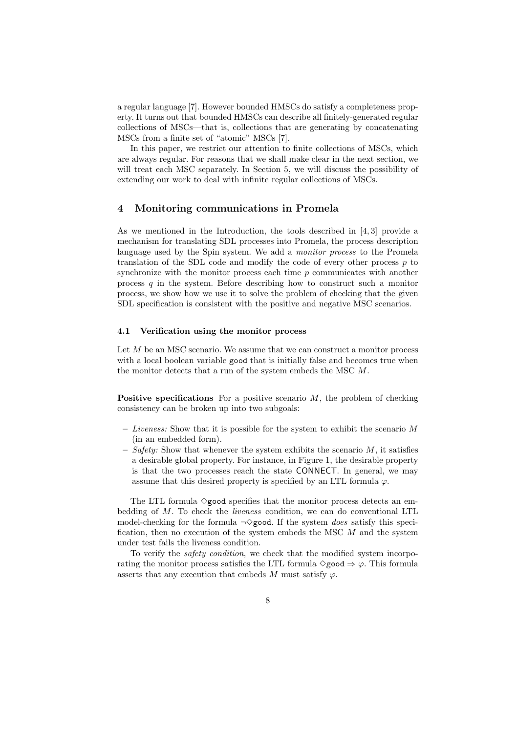a regular language [7]. However bounded HMSCs do satisfy a completeness property. It turns out that bounded HMSCs can describe all finitely-generated regular collections of MSCs—that is, collections that are generating by concatenating MSCs from a finite set of "atomic" MSCs [7].

In this paper, we restrict our attention to finite collections of MSCs, which are always regular. For reasons that we shall make clear in the next section, we will treat each MSC separately. In Section 5, we will discuss the possibility of extending our work to deal with infinite regular collections of MSCs.

## 4 Monitoring communications in Promela

As we mentioned in the Introduction, the tools described in [4, 3] provide a mechanism for translating SDL processes into Promela, the process description language used by the Spin system. We add a *monitor process* to the Promela translation of the SDL code and modify the code of every other process  $p$  to synchronize with the monitor process each time p communicates with another process  $q$  in the system. Before describing how to construct such a monitor process, we show how we use it to solve the problem of checking that the given SDL specification is consistent with the positive and negative MSC scenarios.

#### 4.1 Verification using the monitor process

Let  $M$  be an MSC scenario. We assume that we can construct a monitor process with a local boolean variable good that is initially false and becomes true when the monitor detects that a run of the system embeds the MSC M.

**Positive specifications** For a positive scenario  $M$ , the problem of checking consistency can be broken up into two subgoals:

- $-$  Liveness: Show that it is possible for the system to exhibit the scenario M (in an embedded form).
- Safety: Show that whenever the system exhibits the scenario  $M$ , it satisfies a desirable global property. For instance, in Figure 1, the desirable property is that the two processes reach the state CONNECT. In general, we may assume that this desired property is specified by an LTL formula  $\varphi$ .

The LTL formula  $\Diamond$ good specifies that the monitor process detects an embedding of M. To check the *liveness* condition, we can do conventional LTL model-checking for the formula  $\neg$  $\Diamond$ good. If the system *does* satisfy this specification, then no execution of the system embeds the MSC  $M$  and the system under test fails the liveness condition.

To verify the safety condition, we check that the modified system incorporating the monitor process satisfies the LTL formula  $\Diamond$ good  $\Rightarrow \varphi$ . This formula asserts that any execution that embeds M must satisfy  $\varphi$ .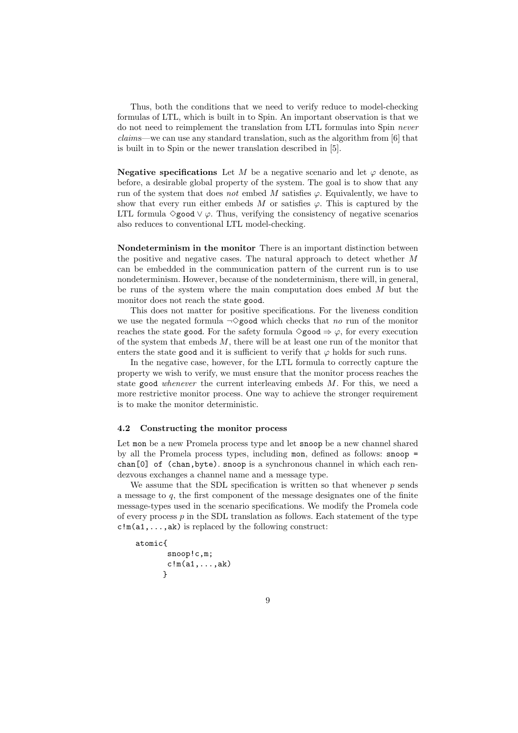Thus, both the conditions that we need to verify reduce to model-checking formulas of LTL, which is built in to Spin. An important observation is that we do not need to reimplement the translation from LTL formulas into Spin never claims—we can use any standard translation, such as the algorithm from [6] that is built in to Spin or the newer translation described in [5].

**Negative specifications** Let M be a negative scenario and let  $\varphi$  denote, as before, a desirable global property of the system. The goal is to show that any run of the system that does *not* embed M satisfies  $\varphi$ . Equivalently, we have to show that every run either embeds M or satisfies  $\varphi$ . This is captured by the LTL formula  $\Diamond$ good  $\lor \varphi$ . Thus, verifying the consistency of negative scenarios also reduces to conventional LTL model-checking.

Nondeterminism in the monitor There is an important distinction between the positive and negative cases. The natural approach to detect whether M can be embedded in the communication pattern of the current run is to use nondeterminism. However, because of the nondeterminism, there will, in general, be runs of the system where the main computation does embed M but the monitor does not reach the state good.

This does not matter for positive specifications. For the liveness condition we use the negated formula  $\neg$  $\Diamond$ good which checks that no run of the monitor reaches the state good. For the safety formula  $\Diamond$ good  $\Rightarrow \varphi$ , for every execution of the system that embeds  $M$ , there will be at least one run of the monitor that enters the state good and it is sufficient to verify that  $\varphi$  holds for such runs.

In the negative case, however, for the LTL formula to correctly capture the property we wish to verify, we must ensure that the monitor process reaches the state good *whenever* the current interleaving embeds  $M$ . For this, we need a more restrictive monitor process. One way to achieve the stronger requirement is to make the monitor deterministic.

#### 4.2 Constructing the monitor process

Let mon be a new Promela process type and let snoop be a new channel shared by all the Promela process types, including mon, defined as follows: snoop = chan[0] of (chan,byte). snoop is a synchronous channel in which each rendezvous exchanges a channel name and a message type.

We assume that the SDL specification is written so that whenever  $p$  sends a message to q, the first component of the message designates one of the finite message-types used in the scenario specifications. We modify the Promela code of every process  $p$  in the SDL translation as follows. Each statement of the type  $c:\mathfrak{m}(a1,\ldots,ak)$  is replaced by the following construct:

```
atomic{
snoop!c,m;
c!m(a1,\ldots,ak)}
```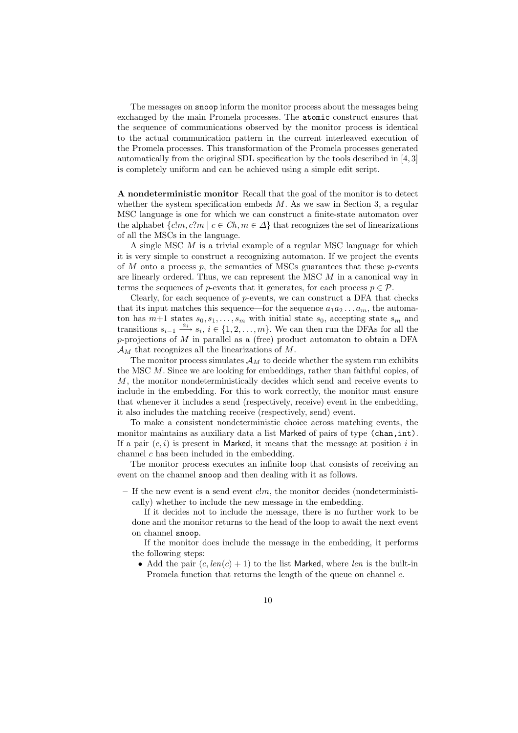The messages on snoop inform the monitor process about the messages being exchanged by the main Promela processes. The atomic construct ensures that the sequence of communications observed by the monitor process is identical to the actual communication pattern in the current interleaved execution of the Promela processes. This transformation of the Promela processes generated automatically from the original SDL specification by the tools described in [4, 3] is completely uniform and can be achieved using a simple edit script.

A nondeterministic monitor Recall that the goal of the monitor is to detect whether the system specification embeds  $M$ . As we saw in Section 3, a regular MSC language is one for which we can construct a finite-state automaton over the alphabet  $\{c|m, c|m \mid c \in Ch, m \in \Delta\}$  that recognizes the set of linearizations of all the MSCs in the language.

A single MSC M is a trivial example of a regular MSC language for which it is very simple to construct a recognizing automaton. If we project the events of  $M$  onto a process  $p$ , the semantics of MSCs guarantees that these  $p$ -events are linearly ordered. Thus, we can represent the MSC M in a canonical way in terms the sequences of p-events that it generates, for each process  $p \in \mathcal{P}$ .

Clearly, for each sequence of p-events, we can construct a DFA that checks that its input matches this sequence—for the sequence  $a_1a_2 \ldots a_m$ , the automaton has  $m+1$  states  $s_0, s_1, \ldots, s_m$  with initial state  $s_0$ , accepting state  $s_m$  and transitions  $s_{i-1} \stackrel{a_i}{\longrightarrow} s_i, i \in \{1, 2, ..., m\}$ . We can then run the DFAs for all the p-projections of M in parallel as a (free) product automaton to obtain a DFA  $\mathcal{A}_M$  that recognizes all the linearizations of M.

The monitor process simulates  $\mathcal{A}_M$  to decide whether the system run exhibits the MSC M. Since we are looking for embeddings, rather than faithful copies, of M, the monitor nondeterministically decides which send and receive events to include in the embedding. For this to work correctly, the monitor must ensure that whenever it includes a send (respectively, receive) event in the embedding, it also includes the matching receive (respectively, send) event.

To make a consistent nondeterministic choice across matching events, the monitor maintains as auxiliary data a list Marked of pairs of type (chan, int). If a pair  $(c, i)$  is present in Marked, it means that the message at position i in channel c has been included in the embedding.

The monitor process executes an infinite loop that consists of receiving an event on the channel snoop and then dealing with it as follows.

 $-$  If the new event is a send event  $clm$ , the monitor decides (nondeterministically) whether to include the new message in the embedding.

If it decides not to include the message, there is no further work to be done and the monitor returns to the head of the loop to await the next event on channel snoop.

If the monitor does include the message in the embedding, it performs the following steps:

• Add the pair  $(c, len(c) + 1)$  to the list Marked, where len is the built-in Promela function that returns the length of the queue on channel c.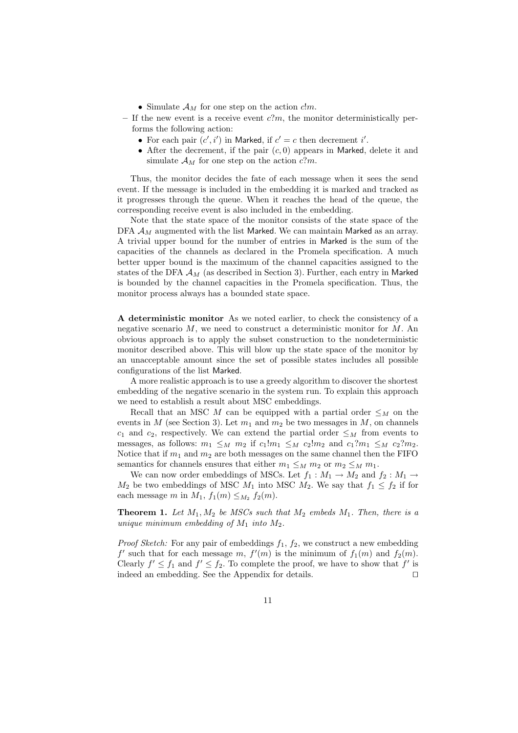- Simulate  $\mathcal{A}_M$  for one step on the action  $c!m$ .
- If the new event is a receive event  $c$ ?m, the monitor deterministically performs the following action:
	- For each pair  $(c', i')$  in Marked, if  $c' = c$  then decrement i'.
	- After the decrement, if the pair  $(c, 0)$  appears in Marked, delete it and simulate  $\mathcal{A}_M$  for one step on the action  $c?m$ .

Thus, the monitor decides the fate of each message when it sees the send event. If the message is included in the embedding it is marked and tracked as it progresses through the queue. When it reaches the head of the queue, the corresponding receive event is also included in the embedding.

Note that the state space of the monitor consists of the state space of the DFA  $\mathcal{A}_M$  augmented with the list Marked. We can maintain Marked as an array. A trivial upper bound for the number of entries in Marked is the sum of the capacities of the channels as declared in the Promela specification. A much better upper bound is the maximum of the channel capacities assigned to the states of the DFA  $\mathcal{A}_{M}$  (as described in Section 3). Further, each entry in Marked is bounded by the channel capacities in the Promela specification. Thus, the monitor process always has a bounded state space.

A deterministic monitor As we noted earlier, to check the consistency of a negative scenario  $M$ , we need to construct a deterministic monitor for  $M$ . An obvious approach is to apply the subset construction to the nondeterministic monitor described above. This will blow up the state space of the monitor by an unacceptable amount since the set of possible states includes all possible configurations of the list Marked.

A more realistic approach is to use a greedy algorithm to discover the shortest embedding of the negative scenario in the system run. To explain this approach we need to establish a result about MSC embeddings.

Recall that an MSC M can be equipped with a partial order  $\leq_M$  on the events in  $M$  (see Section 3). Let  $m_1$  and  $m_2$  be two messages in  $M$ , on channels  $c_1$  and  $c_2$ , respectively. We can extend the partial order  $\leq_M$  from events to messages, as follows:  $m_1 \leq_M m_2$  if  $c_1!m_1 \leq_M c_2!m_2$  and  $c_1?m_1 \leq_M c_2?m_2$ . Notice that if  $m_1$  and  $m_2$  are both messages on the same channel then the FIFO semantics for channels ensures that either  $m_1 \leq_M m_2$  or  $m_2 \leq_M m_1$ .

We can now order embeddings of MSCs. Let  $f_1 : M_1 \to M_2$  and  $f_2 : M_1 \to$  $M_2$  be two embeddings of MSC  $M_1$  into MSC  $M_2$ . We say that  $f_1 \n\t\le f_2$  if for each message m in  $M_1$ ,  $f_1(m) \leq_{M_2} f_2(m)$ .

**Theorem 1.** Let  $M_1, M_2$  be MSCs such that  $M_2$  embeds  $M_1$ . Then, there is a unique minimum embedding of  $M_1$  into  $M_2$ .

*Proof Sketch:* For any pair of embeddings  $f_1$ ,  $f_2$ , we construct a new embedding f' such that for each message m,  $f'(m)$  is the minimum of  $f_1(m)$  and  $f_2(m)$ . Clearly  $f' \leq f_1$  and  $f' \leq f_2$ . To complete the proof, we have to show that  $f'$  is indeed an embedding. See the Appendix for details.  $\Box$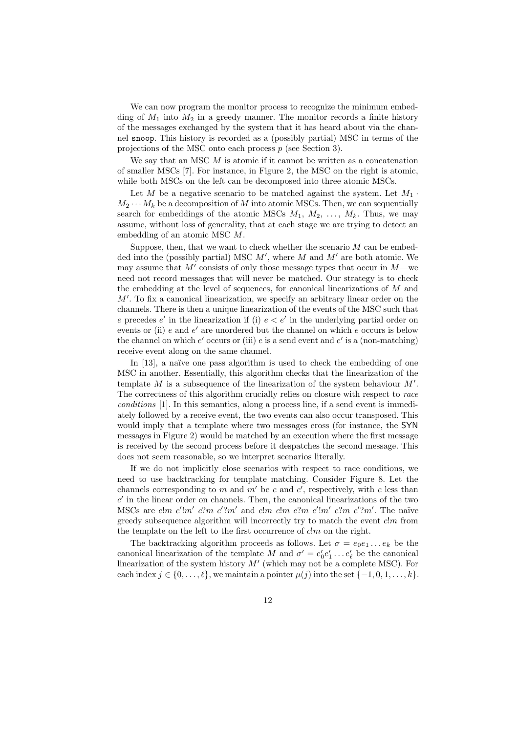We can now program the monitor process to recognize the minimum embedding of  $M_1$  into  $M_2$  in a greedy manner. The monitor records a finite history of the messages exchanged by the system that it has heard about via the channel snoop. This history is recorded as a (possibly partial) MSC in terms of the projections of the MSC onto each process p (see Section 3).

We say that an MSC  $M$  is atomic if it cannot be written as a concatenation of smaller MSCs [7]. For instance, in Figure 2, the MSC on the right is atomic, while both MSCs on the left can be decomposed into three atomic MSCs.

Let M be a negative scenario to be matched against the system. Let  $M_1$ .  $M_2 \cdots M_k$  be a decomposition of M into atomic MSCs. Then, we can sequentially search for embeddings of the atomic MSCs  $M_1, M_2, \ldots, M_k$ . Thus, we may assume, without loss of generality, that at each stage we are trying to detect an embedding of an atomic MSC M.

Suppose, then, that we want to check whether the scenario  $M$  can be embedded into the (possibly partial) MSC  $M'$ , where  $M$  and  $M'$  are both atomic. We may assume that  $M'$  consists of only those message types that occur in  $M$ —we need not record messages that will never be matched. Our strategy is to check the embedding at the level of sequences, for canonical linearizations of M and  $M'$ . To fix a canonical linearization, we specify an arbitrary linear order on the channels. There is then a unique linearization of the events of the MSC such that e precedes  $e'$  in the linearization if (i)  $e < e'$  in the underlying partial order on events or (ii)  $e$  and  $e'$  are unordered but the channel on which  $e$  occurs is below the channel on which  $e'$  occurs or (iii) e is a send event and  $e'$  is a (non-matching) receive event along on the same channel.

In [13], a naïve one pass algorithm is used to check the embedding of one MSC in another. Essentially, this algorithm checks that the linearization of the template  $M$  is a subsequence of the linearization of the system behaviour  $M'$ . The correctness of this algorithm crucially relies on closure with respect to race conditions [1]. In this semantics, along a process line, if a send event is immediately followed by a receive event, the two events can also occur transposed. This would imply that a template where two messages cross (for instance, the SYN messages in Figure 2) would be matched by an execution where the first message is received by the second process before it despatches the second message. This does not seem reasonable, so we interpret scenarios literally.

If we do not implicitly close scenarios with respect to race conditions, we need to use backtracking for template matching. Consider Figure 8. Let the channels corresponding to m and m' be c and c', respectively, with c less than  $c'$  in the linear order on channels. Then, the canonical linearizations of the two MSCs are  $clm$   $c'lm'$   $c?m$   $c'{}^2m'$  and  $clm$   $clm$   $c?m$   $c'{}^2m'$   $c?m'$ . The naïve greedy subsequence algorithm will incorrectly try to match the event  $c/m$  from the template on the left to the first occurrence of  $c$ !*m* on the right.

The backtracking algorithm proceeds as follows. Let  $\sigma = e_0e_1 \dots e_k$  be the canonical linearization of the template M and  $\sigma' = e'_0 e'_1 \dots e'_\ell$  be the canonical linearization of the system history  $M'$  (which may not be a complete MSC). For each index  $j \in \{0, \ldots, \ell\}$ , we maintain a pointer  $\mu(j)$  into the set  $\{-1, 0, 1, \ldots, k\}$ .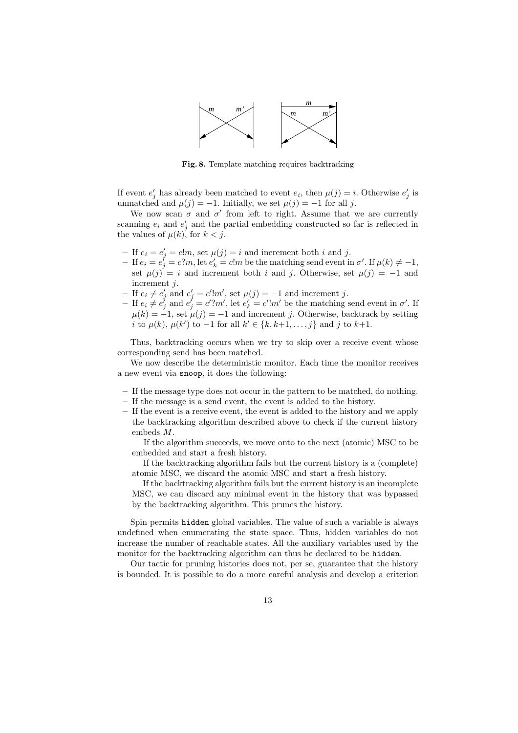

Fig. 8. Template matching requires backtracking

If event  $e'_j$  has already been matched to event  $e_i$ , then  $\mu(j) = i$ . Otherwise  $e'_j$  is unmatched and  $\mu(j) = -1$ . Initially, we set  $\mu(j) = -1$  for all j.

We now scan  $\sigma$  and  $\sigma'$  from left to right. Assume that we are currently scanning  $e_i$  and  $e'_j$  and the partial embedding constructed so far is reflected in the values of  $\mu(k)$ , for  $k < j$ .

- If  $e_i = e'_j = c!m$ , set  $\mu(j) = i$  and increment both i and j.
- $-$  If  $e_i = e'_j = c$ ?*m*, let  $e'_k = c!m$  be the matching send event in  $\sigma'$ . If  $\mu(k) \neq -1$ , set  $\mu(j) = i$  and increment both i and j. Otherwise, set  $\mu(j) = -1$  and increment j.
- − If  $e_i \neq e'_j$  and  $e'_j = c'!m'$ , set  $\mu(j) = -1$  and increment j.
- If  $e_i \neq e'_j$  and  $e'_j = c'$ ?m', let  $e'_k = c'!m'$  be the matching send event in  $\sigma'$ . If  $\mu(k) = -1$ , set  $\mu(j) = -1$  and increment j. Otherwise, backtrack by setting i to  $\mu(k)$ ,  $\mu(k')$  to  $-1$  for all  $k' \in \{k, k+1, ..., j\}$  and j to  $k+1$ .

Thus, backtracking occurs when we try to skip over a receive event whose corresponding send has been matched.

We now describe the deterministic monitor. Each time the monitor receives a new event via snoop, it does the following:

- If the message type does not occur in the pattern to be matched, do nothing.
- If the message is a send event, the event is added to the history.
- If the event is a receive event, the event is added to the history and we apply the backtracking algorithm described above to check if the current history embeds M.

If the algorithm succeeds, we move onto to the next (atomic) MSC to be embedded and start a fresh history.

If the backtracking algorithm fails but the current history is a (complete) atomic MSC, we discard the atomic MSC and start a fresh history.

If the backtracking algorithm fails but the current history is an incomplete MSC, we can discard any minimal event in the history that was bypassed by the backtracking algorithm. This prunes the history.

Spin permits hidden global variables. The value of such a variable is always undefined when enumerating the state space. Thus, hidden variables do not increase the number of reachable states. All the auxiliary variables used by the monitor for the backtracking algorithm can thus be declared to be hidden.

Our tactic for pruning histories does not, per se, guarantee that the history is bounded. It is possible to do a more careful analysis and develop a criterion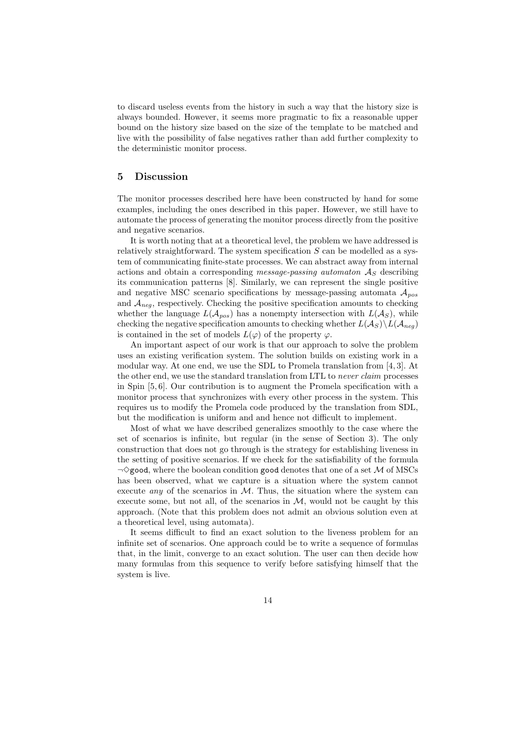to discard useless events from the history in such a way that the history size is always bounded. However, it seems more pragmatic to fix a reasonable upper bound on the history size based on the size of the template to be matched and live with the possibility of false negatives rather than add further complexity to the deterministic monitor process.

# 5 Discussion

The monitor processes described here have been constructed by hand for some examples, including the ones described in this paper. However, we still have to automate the process of generating the monitor process directly from the positive and negative scenarios.

It is worth noting that at a theoretical level, the problem we have addressed is relatively straightforward. The system specification  $S$  can be modelled as a system of communicating finite-state processes. We can abstract away from internal actions and obtain a corresponding message-passing automaton  $A<sub>S</sub>$  describing its communication patterns [8]. Similarly, we can represent the single positive and negative MSC scenario specifications by message-passing automata  $A_{pos}$ and  $A_{neq}$ , respectively. Checking the positive specification amounts to checking whether the language  $L(\mathcal{A}_{pos})$  has a nonempty intersection with  $L(\mathcal{A}_S)$ , while checking the negative specification amounts to checking whether  $L(\mathcal{A}_S)\backslash L(\mathcal{A}_{neg})$ is contained in the set of models  $L(\varphi)$  of the property  $\varphi$ .

An important aspect of our work is that our approach to solve the problem uses an existing verification system. The solution builds on existing work in a modular way. At one end, we use the SDL to Promela translation from [4, 3]. At the other end, we use the standard translation from LTL to *never claim* processes in Spin [5, 6]. Our contribution is to augment the Promela specification with a monitor process that synchronizes with every other process in the system. This requires us to modify the Promela code produced by the translation from SDL, but the modification is uniform and and hence not difficult to implement.

Most of what we have described generalizes smoothly to the case where the set of scenarios is infinite, but regular (in the sense of Section 3). The only construction that does not go through is the strategy for establishing liveness in the setting of positive scenarios. If we check for the satisfiability of the formula  $\neg$ good, where the boolean condition good denotes that one of a set M of MSCs has been observed, what we capture is a situation where the system cannot execute *any* of the scenarios in  $M$ . Thus, the situation where the system can execute some, but not all, of the scenarios in  $M$ , would not be caught by this approach. (Note that this problem does not admit an obvious solution even at a theoretical level, using automata).

It seems difficult to find an exact solution to the liveness problem for an infinite set of scenarios. One approach could be to write a sequence of formulas that, in the limit, converge to an exact solution. The user can then decide how many formulas from this sequence to verify before satisfying himself that the system is live.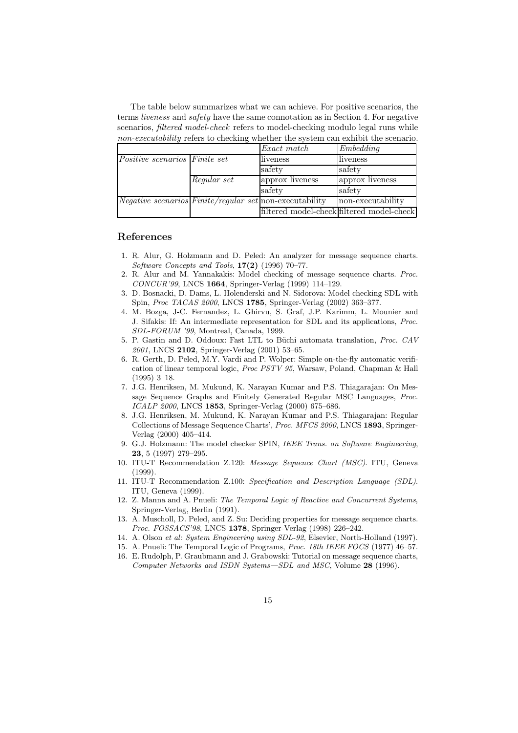The table below summarizes what we can achieve. For positive scenarios, the terms liveness and safety have the same connotation as in Section 4. For negative scenarios, *filtered model-check* refers to model-checking modulo legal runs while non-executability refers to checking whether the system can exhibit the scenario.

|                                                                |             | Exact match     | Embedding                                 |
|----------------------------------------------------------------|-------------|-----------------|-------------------------------------------|
| <i>Positive scenarios</i> Finite set                           |             | liveness        | liveness                                  |
|                                                                |             | safety          | safety                                    |
|                                                                | Regular set | approx liveness | approx liveness                           |
|                                                                |             | safety          | safety                                    |
| <i>Negative scenarios</i> Finite/regular set non-executability |             |                 | non-executability                         |
|                                                                |             |                 | filtered model-check filtered model-check |

# References

- 1. R. Alur, G. Holzmann and D. Peled: An analyzer for message sequence charts. Software Concepts and Tools, 17(2) (1996) 70–77.
- 2. R. Alur and M. Yannakakis: Model checking of message sequence charts. Proc. CONCUR'99, LNCS 1664, Springer-Verlag (1999) 114–129.
- 3. D. Bosnacki, D. Dams, L. Holenderski and N. Sidorova: Model checking SDL with Spin, Proc TACAS 2000, LNCS 1785, Springer-Verlag (2002) 363–377.
- 4. M. Bozga, J-C. Fernandez, L. Ghirvu, S. Graf, J.P. Karimm, L. Mounier and J. Sifakis: If: An intermediate representation for SDL and its applications, Proc. SDL-FORUM '99, Montreal, Canada, 1999.
- 5. P. Gastin and D. Oddoux: Fast LTL to Büchi automata translation, Proc.  $CAV$ 2001, LNCS 2102, Springer-Verlag (2001) 53–65.
- 6. R. Gerth, D. Peled, M.Y. Vardi and P. Wolper: Simple on-the-fly automatic verification of linear temporal logic, Proc PSTV 95, Warsaw, Poland, Chapman & Hall (1995) 3–18.
- 7. J.G. Henriksen, M. Mukund, K. Narayan Kumar and P.S. Thiagarajan: On Message Sequence Graphs and Finitely Generated Regular MSC Languages, Proc. ICALP 2000, LNCS 1853, Springer-Verlag (2000) 675–686.
- 8. J.G. Henriksen, M. Mukund, K. Narayan Kumar and P.S. Thiagarajan: Regular Collections of Message Sequence Charts', Proc. MFCS 2000, LNCS 1893, Springer-Verlag (2000) 405–414.
- 9. G.J. Holzmann: The model checker SPIN, IEEE Trans. on Software Engineering, 23, 5 (1997) 279–295.
- 10. ITU-T Recommendation Z.120: Message Sequence Chart (MSC). ITU, Geneva (1999).
- 11. ITU-T Recommendation Z.100: Specification and Description Language (SDL). ITU, Geneva (1999).
- 12. Z. Manna and A. Pnueli: The Temporal Logic of Reactive and Concurrent Systems, Springer-Verlag, Berlin (1991).
- 13. A. Muscholl, D. Peled, and Z. Su: Deciding properties for message sequence charts. Proc. FOSSACS'98, LNCS 1378, Springer-Verlag (1998) 226–242.
- 14. A. Olson et al: System Engineering using SDL-92, Elsevier, North-Holland (1997).
- 15. A. Pnueli: The Temporal Logic of Programs, Proc. 18th IEEE FOCS (1977) 46–57.
- 16. E. Rudolph, P. Graubmann and J. Grabowski: Tutorial on message sequence charts, Computer Networks and ISDN Systems—SDL and MSC, Volume 28 (1996).